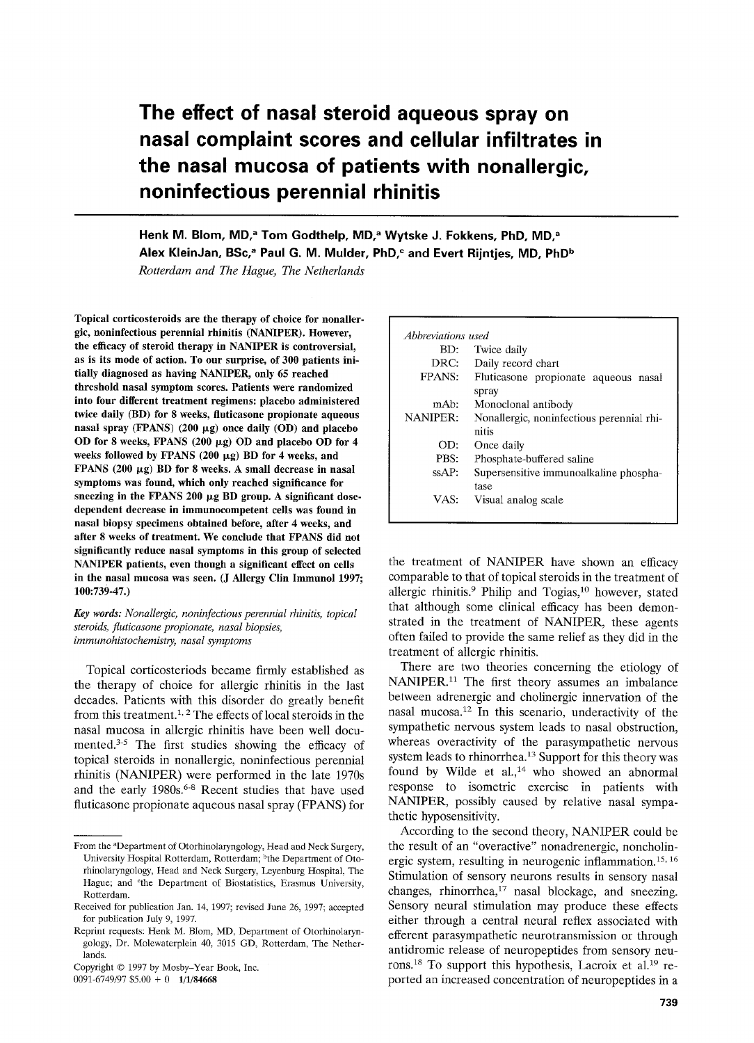# **The effect of nasal steroid aqueous spray on nasal complaint scores and cellular infiltrates in the nasal mucosa of patients with nonallergic, noninfectious perennial rhinitis**

Henk M. Blom, MD,<sup>a</sup> Tom Godthelp, MD,<sup>a</sup> Wytske J. Fokkens, PhD, MD,<sup>a</sup> Alex KleinJan, BSc,<sup>a</sup> Paul G. M. Mulder, PhD,<sup>c</sup> and Evert Rijntjes, MD, PhD<sup>b</sup>

*Rotterdam and The Hague, The Netherlands* 

**Topical corticosteroids are the therapy of choice for nonallergic, noninfectious perennial rhinitis (NANIPER). However, the efficacy of steroid therapy in NANIPER is controversial, as is its mode of action. To our surprise, of 300 patients initially diagnosed as having NANIPER, only 65 reached threshold nasal symptom scores. Patients were randomized into four different treatment regimens: placebo administered twice daily (BD) for 8 weeks, fluticasone propionate aqueous**   $n$ asal spray (FPANS) (200  $\mu$ g) once daily (OD) and placebo OD for 8 weeks, FPANS (200 µg) OD and placebo OD for 4 weeks followed by FPANS (200  $\mu$ g) BD for 4 weeks, and **FPANS** (200  $\mu$ g) BD for 8 weeks. A small decrease in nasal **symptoms was found, which only reached significance for**  sneezing in the FPANS 200 µg BD group. A significant dose**dependent decrease in immunocompetent cells was found in nasal biopsy specimens obtained before, after 4 weeks, and after 8 weeks of treatment. We conclude that FPANS did not significantly reduce nasal symptoms in this group of selected NANIPER patients, even though a significant effect on cells in the nasal mucosa was seen. (J Allergy Clin Immunol 1997; 100:739-47.)** 

*Key words: Nonallergic, noninfectious perennial rhinitis, topical steroids, fluticasone propionate, nasal biopsies, irnmunohistochemistry, nasal symptoms* 

Topical corticosteriods became firmly established as the therapy of choice for allergic rhinitis in the last decades. Patients with this disorder do greatly benefit from this treatment.<sup>1, 2</sup> The effects of local steroids in the nasal mucosa in allergic rhinitis have been well documented. $3-5$  The first studies showing the efficacy of topical steroids in nonallergic, noninfectious perennial rhinitis (NANIPER) were performed in the late 1970s and the early 1980s.<sup>6-8</sup> Recent studies that have used fluticasone propionate aqueous nasal spray (FPANS) for

0091-6749/97  $$5.00 + 0$  1/1/84668

| Abbreviations used |                                           |
|--------------------|-------------------------------------------|
| BD:                | Twice daily                               |
| DRC:               | Daily record chart                        |
| FPANS:             | Fluticasone propionate aqueous nasal      |
|                    | spray                                     |
| mAb:               | Monoclonal antibody                       |
| <b>NANIPER:</b>    | Nonallergic, noninfectious perennial rhi- |
|                    | nitis                                     |
| OD:                | Once daily                                |
| PBS:               | Phosphate-buffered saline                 |
| $s\mathsf{S}AP$ :  | Supersensitive immunoalkaline phospha-    |
|                    | tase                                      |
| VAS:               | Visual analog scale                       |
|                    |                                           |

the treatment of NANIPER have shown an efficacy comparable to that of topical steroids in the treatment of allergic rhinitis.<sup>9</sup> Philip and Togias,<sup>10</sup> however, stated that although some clinical efficacy has been demonstrated in the treatment of NANIPER, these agents often failed to provide the same relief as they did in the treatment of allergic rhinitis.

There are two theories concerning the etiology of NANIPER.<sup>11</sup> The first theory assumes an imbalance between adrenergic and cholinergic innervation of the nasal mucosa. 12 In this scenario, underactivity of the sympathetic nervous system leads to nasal obstruction, whereas overactivity of the parasympathetic nervous system leads to rhinorrhea.<sup>13</sup> Support for this theory was found by Wilde et al.,<sup>14</sup> who showed an abnormal response to isometric exercise in patients with NANIPER, possibly caused by relative nasal sympathetic hyposensitivity.

According to the second theory, NANIPER could be the result of an "overactive" nonadrenergic, noncholinergic system, resulting in neurogenic inflammation. 15, 16 Stimulation of sensory neurons results in sensory nasal changes, rhinorrhea,<sup>17</sup> nasal blockage, and sneezing. Sensory neural stimulation may produce these effects either through a central neural reflex associated with efferent parasympathetic neurotransmission or through antidromic release of neuropeptides from sensory neurons.<sup>18</sup> To support this hypothesis, Lacroix et al.<sup>19</sup> reported an increased concentration of neuropeptides in a

From the <sup>a</sup>Department of Otorhinolaryngology, Head and Neck Surgery, University Hospital Rotterdam, Rotterdam; <sup>b</sup>the Department of Otorhinolaryngology, Head and Neck Surgery, Leyenburg Hospital, The Hague; and <sup>c</sup>the Department of Biostatistics, Erasmus University, Rotterdam.

Received for publication Jan. 14, 1997; revised June 26, 1997; accepted for publication July 9, 1997.

Reprint requests: Henk M. Blom, MD, Department of Otorhinolaryngology, Dr. Molewaterplein 40, 3015 GD, Rotterdam, The Netherlands.

Copyright © 1997 by Mosby-Year Book, Inc.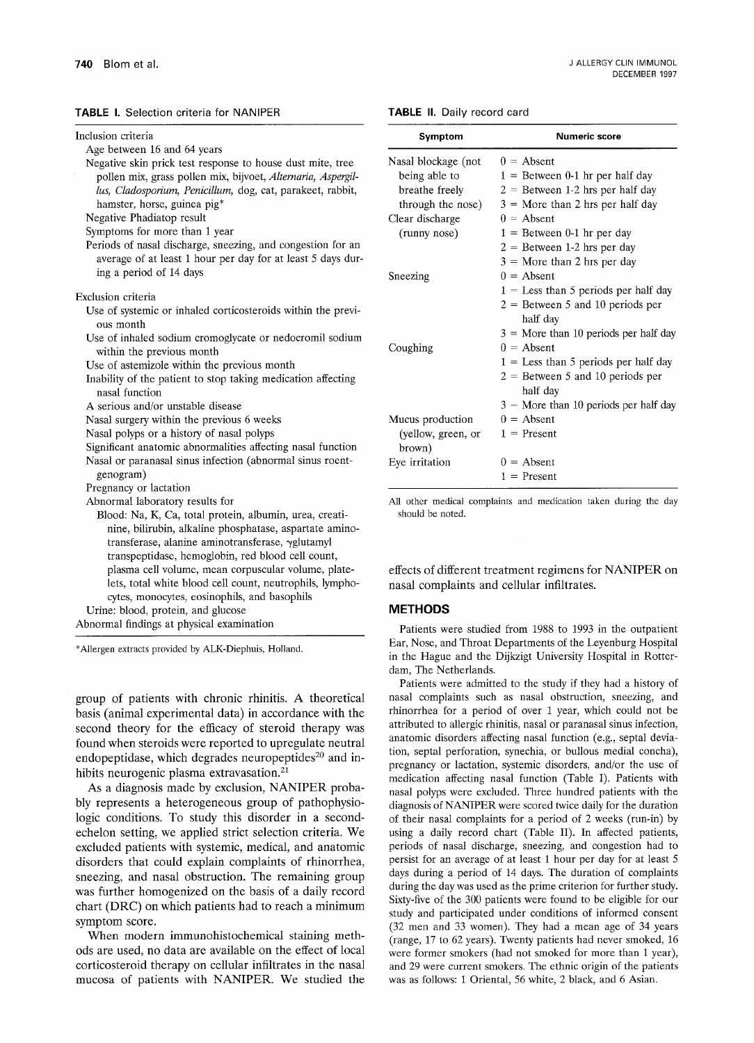#### TABLE I. Selection criteria for NANIPER

| Inclusion criteria                                                                                                                                                                                                                                   |   |
|------------------------------------------------------------------------------------------------------------------------------------------------------------------------------------------------------------------------------------------------------|---|
| Age between 16 and 64 years                                                                                                                                                                                                                          |   |
| Negative skin prick test response to house dust mite, tree<br>pollen mix, grass pollen mix, bijvoet, Alternaria, Aspergil-<br>lus, Cladosporium, Penicillum, dog, cat, parakeet, rabbit,<br>hamster, horse, guinea pig*<br>Negative Phadiatop result | N |
| Symptoms for more than 1 year                                                                                                                                                                                                                        |   |
| Periods of nasal discharge, sneezing, and congestion for an                                                                                                                                                                                          |   |
| average of at least 1 hour per day for at least 5 days dur-<br>ing a period of 14 days                                                                                                                                                               | S |
| Exclusion criteria                                                                                                                                                                                                                                   |   |
| Use of systemic or inhaled corticosteroids within the previ-<br>ous month                                                                                                                                                                            |   |
| Use of inhaled sodium cromoglycate or nedocromil sodium<br>within the previous month                                                                                                                                                                 |   |
| Use of astemizole within the previous month                                                                                                                                                                                                          |   |
| Inability of the patient to stop taking medication affecting<br>nasal function                                                                                                                                                                       |   |
| A serious and/or unstable disease                                                                                                                                                                                                                    |   |
| Nasal surgery within the previous 6 weeks                                                                                                                                                                                                            |   |
| Nasal polyps or a history of nasal polyps                                                                                                                                                                                                            |   |
| Significant anatomic abnormalities affecting nasal function                                                                                                                                                                                          |   |
| Nasal or paranasal sinus infection (abnormal sinus roent-                                                                                                                                                                                            |   |
| genogram)                                                                                                                                                                                                                                            |   |
| Pregnancy or lactation                                                                                                                                                                                                                               |   |
| Abnormal laboratory results for                                                                                                                                                                                                                      |   |
| Blood: Na, K, Ca, total protein, albumin, urea, creati-                                                                                                                                                                                              |   |
| nine, bilirubin, alkaline phosphatase, aspartate amino-                                                                                                                                                                                              |   |
| transferase, alanine aminotransferase, γglutamyl                                                                                                                                                                                                     |   |
| transpeptidase, hemoglobin, red blood cell count,                                                                                                                                                                                                    |   |
| plasma cell volume, mean corpuscular volume, plate-                                                                                                                                                                                                  |   |
| lets, total white blood cell count, neutrophils, lympho-                                                                                                                                                                                             |   |
| cytes, monocytes, eosinophils, and basophils                                                                                                                                                                                                         |   |
| Urine: blood, protein, and glucose                                                                                                                                                                                                                   |   |
| Abnormal findings at physical examination                                                                                                                                                                                                            |   |

\*Allergen extracts provided by ALK-Diephuis, Holland.

group of patients with chronic rhinitis. A theoretical basis (animal experimental data) in accordance with the second theory for the efficacy of steroid therapy was found when steroids were reported to upregulate neutral endopeptidase, which degrades neuropeptides<sup>20</sup> and inhibits neurogenic plasma extravasation.<sup>21</sup>

As a diagnosis made by exclusion, NANIPER probably represents a heterogeneous group of pathophysiologic conditions. To study this disorder in a secondechelon setting, we applied strict selection criteria. We excluded patients with systemic, medical, and anatomic disorders that could explain complaints of rhinorrhea, sneezing, and nasal obstruction. The remaining group was further homogenized on the basis of a daily record chart (DRC) on which patients had to reach a minimum symptom score.

When modern immunohistochemical staining methods are used, no data are available on the effect of local corticosteroid therapy on cellular infiltrates in the nasal mucosa of patients with NANIPER. We studied the

#### **TABLE** II. Daily record card

| Symptom                      | Numeric score                           |  |  |  |
|------------------------------|-----------------------------------------|--|--|--|
| Nasal blockage (not          | $0 =$ Absent                            |  |  |  |
| being able to                | $1 =$ Between 0-1 hr per half day       |  |  |  |
| breathe freely               | $2 =$ Between 1-2 hrs per half day      |  |  |  |
| through the nose)            | $3 =$ More than 2 hrs per half day      |  |  |  |
| Clear discharge              | $0 =$ Absent                            |  |  |  |
| (runny nose)                 | $1 =$ Between 0-1 hr per day            |  |  |  |
|                              | $2 =$ Between 1-2 hrs per day           |  |  |  |
|                              | $3 =$ More than 2 hrs per day           |  |  |  |
| Sneezing                     | $0 =$ Absent                            |  |  |  |
|                              | $1 =$ Less than 5 periods per half day  |  |  |  |
|                              | $2 =$ Between 5 and 10 periods per      |  |  |  |
|                              | half day                                |  |  |  |
|                              | $3 =$ More than 10 periods per half day |  |  |  |
| Coughing                     | $0 =$ Absent                            |  |  |  |
|                              | $1 =$ Less than 5 periods per half day  |  |  |  |
|                              | $2 =$ Between 5 and 10 periods per      |  |  |  |
|                              | half day                                |  |  |  |
|                              | $3 =$ More than 10 periods per half day |  |  |  |
| Mucus production             | $0 =$ Absent                            |  |  |  |
| (yellow, green, or<br>brown) | $1$ = Present                           |  |  |  |
| Eye irritation               | $0 =$ Absent                            |  |  |  |
|                              | $1 =$ Present                           |  |  |  |

All other medical complaints and medication taken during the day should be noted.

effects of different treatment regimens for NANIPER on nasal complaints and cellular infiltrates.

#### **METHODS**

Patients were studied from 1988 to 1993 in the outpatient Ear, Nose, and Throat Departments of the Leyenburg Hospital in the Hague and the Dijkzigt University Hospital in Rotterdam, The Netherlands.

Patients were admitted to the study if they had a history of nasal complaints such as nasal obstruction, sneezing, and rhinorrhea for a period of over 1 year, which could not be attributed to allergic rhinitis, nasal or paranasal sinus infection, anatomic disorders affecting nasal function (e.g., septal deviation, septal perforation, synechia, or bullous medial concha), pregnancy or lactation, systemic disorders, and/or the use of medication affecting nasal function (Table I). Patients with nasal polyps were excluded. Three hundred patients with the diagnosis of NANIPER were scored twice daily for the duration of their nasal complaints for a period of 2 weeks (run-in) by using a daily record chart (Table II). In affected patients, periods of nasal discharge, sneezing, and congestion had to persist for an average of at least 1 hour per day for at least 5 days during a period of 14 days. The duration of complaints during the day was used as the prime criterion for further study. Sixty-five of the 300 patients were found to be eligible for our study and participated under conditions of informed consent (32 men and 33 women). They had a mean age of 34 years (range, 17 to 62 years). Twenty patients had never smoked, 16 were former smokers (had not smoked for more than 1 year), and 29 were current smokers. The ethnic origin of the patients was as follows: 1 Oriental, 56 white, 2 black, and 6 Asian.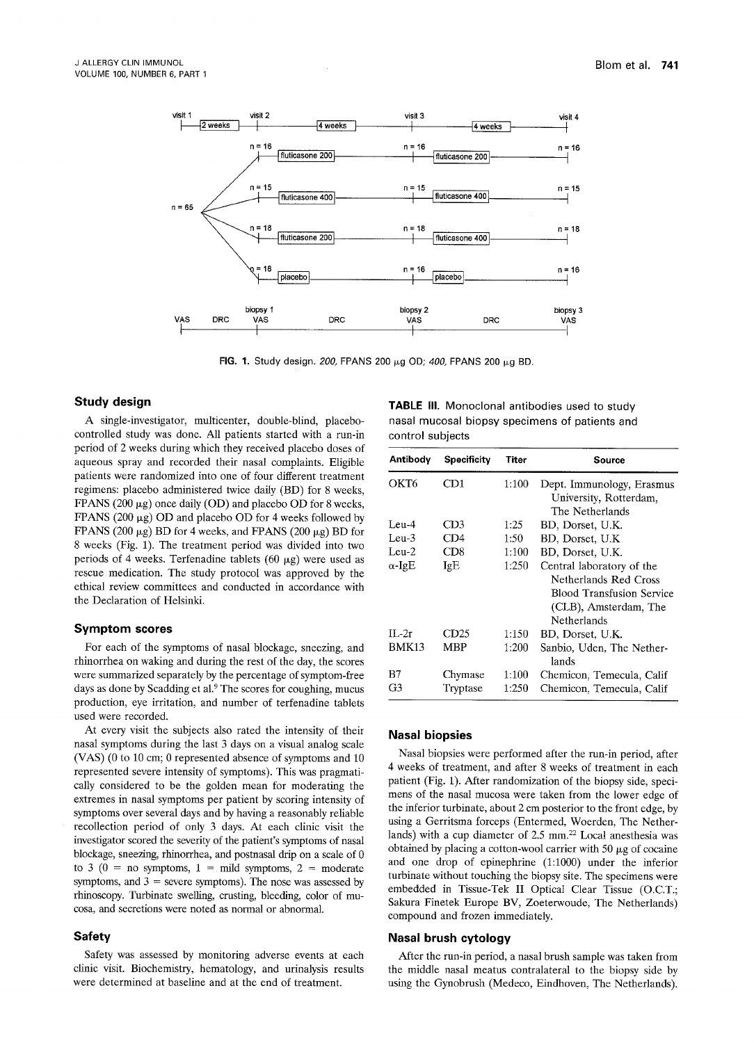

**FIG. 1.** Study design. 200, FPANS 200 μg OD; 400, FPANS 200 μg BD.

## **Study design**

A single-investigator, multicenter, double-blind, placebocontrolled study was done. All patients started with a run-in period of 2 weeks during which they received placebo doses of aqueous spray and recorded their nasal complaints. Eligible patients were randomized into one of four different treatment regimens: placebo administered twice daily (BD) for 8 weeks, FPANS (200  $\mu$ g) once daily (OD) and placebo OD for 8 weeks, FPANS (200  $\mu$ g) OD and placebo OD for 4 weeks followed by FPANS (200  $\mu$ g) BD for 4 weeks, and FPANS (200  $\mu$ g) BD for 8 weeks (Fig. 1). The treatment period was divided into two periods of 4 weeks. Terfenadine tablets (60  $\mu$ g) were used as rescue medication. The study protocol was approved by the ethical review committees and conducted in accordance with the Declaration of Helsinki.

#### **Symptom scores**

For each of the symptoms of nasal blockage, sneezing, and rhinorrhea on waking and during the rest of the day, the scores were summarized separately by the percentage of symptom-free days as done by Scadding et al.<sup>9</sup> The scores for coughing, mucus production, eye irritation, and number of terfenadine tablets used were recorded.

At every visit the subjects also rated the intensity of their nasal symptoms during the last 3 days on a visual analog scale (VAS) (0 to 10 cm; 0 represented absence of symptoms and 10 represented severe intensity of symptoms). This was pragmatically considered to be the golden mean for moderating the extremes in nasal symptoms per patient by scoring intensity of symptoms over several days and by having a reasonably reliable recollection period of only 3 days. At each clinic visit the investigator scored the severity of the patient's symptoms of nasal blockage, sneezing, rhinorrhea, and postnasal drip on a scale of 0 to 3 ( $0 =$  no symptoms,  $1 =$  mild symptoms,  $2 =$  moderate symptoms, and  $3$  = severe symptoms). The nose was assessed by rhinoscopy. Turbinate swelling, crusting, bleeding, color of mucosa, and secretions were noted as normal or abnormal.

#### **Safety**

Safety was assessed by monitoring adverse events at each clinic visit. Biochemistry, hematology, and urinalysis results were determined at baseline and at the end of treatment.

**TABLE** III. Monoclonal antibodies used to study **nasal** mucosal biopsy specimens of patients and control subjects

| Antibody      | <b>Specificity</b> | Titer | Source                                                                 |
|---------------|--------------------|-------|------------------------------------------------------------------------|
| OKT6          | CD1                | 1:100 | Dept. Immunology, Erasmus<br>University, Rotterdam,<br>The Netherlands |
| Leu-4         | CD <sub>3</sub>    | 1:25  | BD, Dorset, U.K.                                                       |
| $Len-3$       | CD4                | 1:50  | BD, Dorset, U.K.                                                       |
| Leu- $2$      | CD8                | 1:100 | BD. Dorset, U.K.                                                       |
| $\alpha$ -IgE | IgE                | 1:250 | Central laboratory of the                                              |
|               |                    |       | Netherlands Red Cross                                                  |
|               |                    |       | Blood Transfusion Service                                              |
|               |                    |       | (CLB), Amsterdam, The                                                  |
|               |                    |       | Netherlands                                                            |
| II.2r         | CD25               | 1:150 | BD, Dorset, U.K.                                                       |
| BMK13         | MBP                | 1:200 | Sanbio, Uden, The Nether-<br>lands                                     |
| B7            | Chymase            | 1:100 | Chemicon, Temecula, Calif                                              |
| G3            | Tryptase           | 1:250 | Chemicon. Temecula. Calif                                              |

## **Nasal biopsies**

Nasal biopsies were performed after the run-in period, after 4 weeks of treatment, and after 8 weeks of treatment in each patient (Fig. 1). After randomization of the biopsy side, specimens of the nasal mucosa were taken from the lower edge of the inferior turbinate, about 2 cm posterior to the front edge, by using a Gerritsma forceps (Entermed, Woerden, The Netherlands) with a cup diameter of 2.5 mm.<sup>22</sup> Local anesthesia was obtained by placing a cotton-wool carrier with 50  $\mu$ g of cocaine and one drop of epinephrine (1:1000) under the inferior turbinate without touching the biopsy site. The specimens were embedded in Tissue-Tek II Optical Clear Tissue (O.C.T.; Sakura Finetek Europe BV, Zoeterwoude, The Netherlands) compound and frozen immediately.

#### **Nasal brush cytology**

After the run-in period, a nasal brush sample was taken from the middle nasal meatus contralateral to the biopsy side by using the Gynobrush (Medeco, Eindhoven, The Netherlands).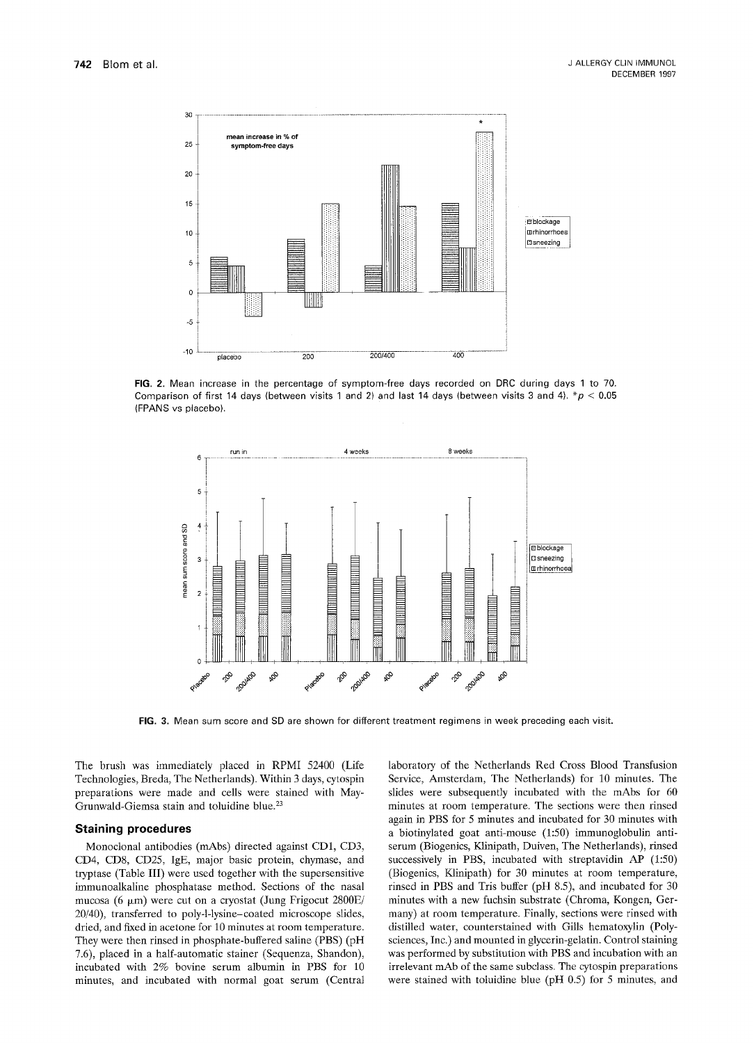

FIG. 2. Mean increase in the percentage of symptom-free days recorded on DRC during days 1 to 70. Comparison of first 14 days (between visits 1 and 2) and last 14 days (between visits 3 and 4).  $*p < 0.05$ (FPANS vs placebo).



FIG. 3. Mean sum score and SD are shown for different treatment regimens in week preceding each visit.

The brush was immediately placed in RPMI 52400 (Life Technologies, Breda, The Netherlands). Within 3 days, cytospin preparations were made and cells were stained with May-Grunwald-Giemsa stain and toluidine blue.<sup>23</sup>

#### **Staining procedures**

Monoclonal antibodies (mAbs) directed against CD1, CD3, CD4, CD8, CD25, IgE, major basic protein, chymase, and tryptase (Table III) were used together with the supersensitive immunoalkaline phosphatase method. Sections of the nasal mucosa (6  $\mu$ m) were cut on a cryostat (Jung Frigocut 2800E/ 20/40), transferred to poly-l-lysine-coated microscope slides, dried, and fixed in acetone for 10 minutes at room temperature. They were then rinsed in phosphate-buffered saline (PBS) (pH 7.6), placed in a half-automatic stainer (Sequenza, Shandon), incubated with 2% bovine serum albumin in PBS for 10 minutes, and incubated with normal goat serum (Central laboratory of the Netherlands Red Cross Blood Transfusion Service, Amsterdam, The Netherlands) for 10 minutes. The slides were subsequently incubated with the mAbs for 60 minutes at room temperature. The sections were then rinsed again in PBS for 5 minutes and incubated for 30 minutes with a biotinylated goat anti-mouse (1:50) immunoglobulin antiserum (Biogenics, Klinipath, Duiven, The Netherlands), rinsed successively in PBS, incubated with streptavidin AP (1:50) (Biogenics, Klinipath) for 30 minutes at room temperature, rinsed in PBS and Tris buffer (pH 8.5), and incubated for 30 minutes with a new fuchsin substrate (Chroma, Kongen, Germany) at room temperature. Finally, sections were rinsed with distilled water, counterstained with Gills hematoxylin (Polysciences, Inc.) and mounted in glycerin-gelatin. Control staining was performed by substitution with PBS and incubation with an irrelevant mAb of the same subclass. The cytospin preparations were stained with toluidine blue (pH 0.5) for 5 minutes, and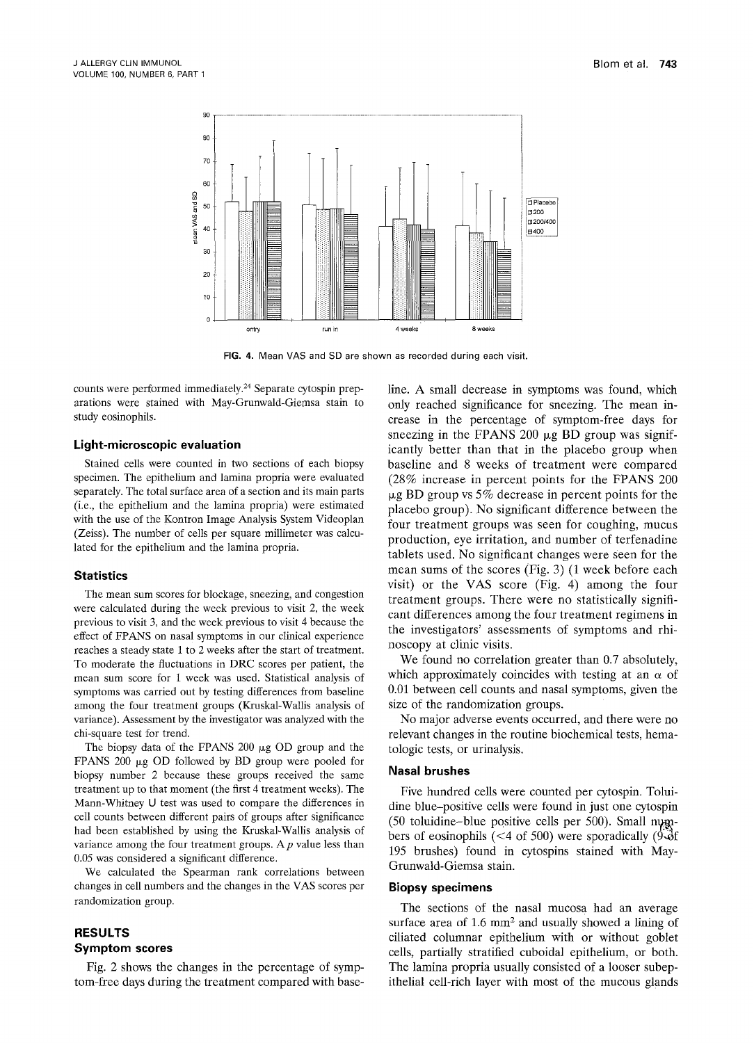

FIG. 4. Mean VAS and SD are shown as recorded during each visit.

counts were performed immediately.<sup>24</sup> Separate cytospin preparations were stained with May-Grunwald-Giemsa stain to study eosinophils.

## **Light-microscopic evaluation**

Stained cells were counted in two sections of each biopsy specimen. The epithelium and lamina propria were evaluated separately. The total surface area of a section and its main parts (i.e., the epithelium and the lamina propria) were estimated with the use of the Kontron Image Analysis System Videoplan (Zeiss). The number of cells per square millimeter was calculated for the epithelium and the lamina propria.

#### **Statistics**

The mean sum scores for blockage, sneezing, and congestion were calculated during the week previous to visit 2, the week previous to visit 3, and the week previous to visit 4 because the effect of FPANS on nasal symptoms in our clinical experience reaches a steady state 1 to 2 weeks after the start of treatment. To moderate the fluctuations in DRC scores per patient, the mean sum score for 1 week was used. Statistical analysis of symptoms was carried out by testing differences from baseline among the four treatment groups (Kruskal-Wallis analysis of variance). Assessment by the investigator was analyzed with the chi-square test for trend.

The biopsy data of the FPANS 200  $\mu$ g OD group and the FPANS 200  $\mu$ g OD followed by BD group were pooled for biopsy number 2 because these groups received the same treatment up to that moment (the first 4 treatment weeks). The Mann-Whitney U test was used to compare the differences in cell counts between different pairs of groups after significance had been established by using the Kruskal-Wallis analysis of variance among the four treatment groups. A  $p$  value less than 0.05 was considered a significant difference.

We calculated the Spearman rank correlations between changes in cell numbers and the changes in the VAS scores per randomization group.

# **RESULTS Symptom scores**

Fig. 2 shows the changes in the percentage of symptom-free days during the treatment compared with baseline. A small decrease in symptoms was found, which only reached significance for sneezing. The mean increase in the percentage of symptom-free days for sneezing in the FPANS 200  $\mu$ g BD group was significantly better than that in the placebo group when baseline and 8 weeks of treatment were compared (28% increase in percent points for the FPANS 200  $\mu$ g BD group vs 5% decrease in percent points for the placebo group). No significant difference between the four treatment groups was seen for coughing, mucus production, eye irritation, and number of terfenadine tablets used. No significant changes were seen for the mean sums of the scores (Fig. 3) (1 week before each visit) or the VAS score (Fig. 4) among the four treatment groups. There were no statistically significant differences among the four treatment regimens in the investigators' assessments of symptoms and rhinoscopy at clinic visits.

We found no correlation greater than 0.7 absolutely, which approximately coincides with testing at an  $\alpha$  of 0.01 between cell counts and nasal symptoms, given the size of the randomization groups.

No major adverse events occurred, and there were no relevant changes in the routine biochemical tests, hematologic tests, or urinalysis.

#### **Nasal brushes**

Five hundred cells were counted per cytospin. Toluidine blue-positive cells were found in just one cytospin (50 toluidine-blue positive cells per 500). Small numbers of eosinophils (<4 of 500) were sporadically (9- $\delta$ f 195 brushes) found in cytospins stained with May-Grunwald-Giemsa stain.

## **Biopsy specimens**

The sections of the nasal mucosa had an average surface area of  $1.6 \text{ mm}^2$  and usually showed a lining of ciliated columnar epithelium with or without goblet cells, partially stratified cuboidal epithelium, or both. The lamina propria usually consisted of a looser subepithelial cell-rich layer with most of the mucous glands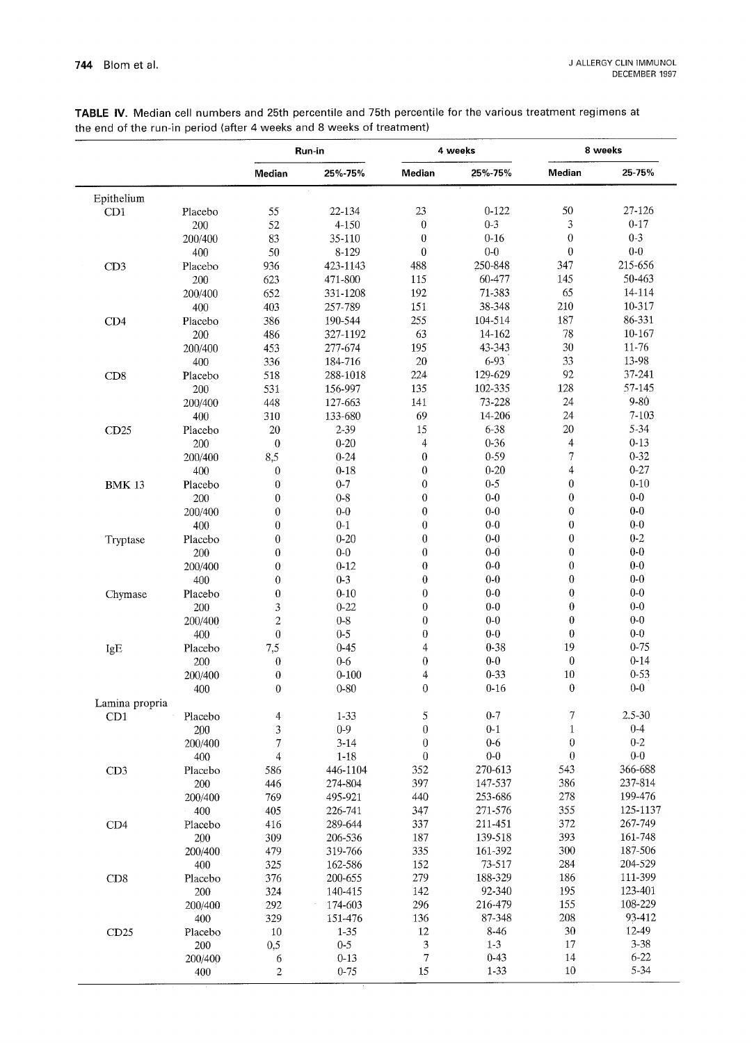|                |         |                  | Run-in    | 4 weeks          |           | 8 weeks                 |            |
|----------------|---------|------------------|-----------|------------------|-----------|-------------------------|------------|
|                |         | Median           | 25%-75%   | Median           | 25%-75%   | Median                  | 25-75%     |
| Epithelium     |         |                  |           |                  |           |                         |            |
| CD1            | Placebo | 55               | 22-134    | 23               | $0 - 122$ | 50                      | 27-126     |
|                | 200     | 52               | 4-150     | $\overline{0}$   | $0 - 3$   | 3                       | $0 - 17$   |
|                | 200/400 | 83               | 35-110    | 0                | $0 - 16$  | $\mathbf{0}$            | $0 - 3$    |
|                | 400     | 50               | 8-129     | 0                | $0-0$     | $\mathbf{0}$            | $0-0$      |
| CD3            | Placebo | 936              | 423-1143  | 488              | 250-848   | 347                     | 215-656    |
|                | 200     | 623              | 471-800   | 115              | 60-477    | 145                     | 50-463     |
|                | 200/400 | 652              | 331-1208  | 192              | 71-383    | 65                      | 14-114     |
|                | 400     | 403              | 257-789   | 151              | 38-348    | 210                     | 10-317     |
|                |         |                  |           | 255              | 104-514   | 187                     | 86-331     |
| CD4            | Placebo | 386              | 190-544   |                  |           |                         |            |
|                | 200     | 486              | 327-1192  | 63               | 14-162    | 78                      | 10-167     |
|                | 200/400 | 453              | 277-674   | 195              | 43-343    | 30                      | 11-76      |
|                | 400     | 336              | 184-716   | 20               | 6-93      | 33                      | 13-98      |
| CD8            | Placebo | 518              | 288-1018  | 224              | 129-629   | 92                      | 37-241     |
|                | 200     | 531              | 156-997   | 135              | 102-335   | 128                     | 57-145     |
|                | 200/400 | 448              | 127-663   | 141              | 73-228    | 24                      | 9-80       |
|                | 400     | 310              | 133-680   | 69               | 14-206    | 24                      | 7-103      |
| CD25           | Placebo | 20               | $2 - 39$  | 15               | 6-38      | 20                      | 5-34       |
|                | 200     | $\boldsymbol{0}$ | $0 - 20$  | $\overline{4}$   | $0 - 36$  | $\overline{\mathbf{4}}$ | $0 - 13$   |
|                | 200/400 | 8,5              | $0 - 24$  | $\boldsymbol{0}$ | $0 - 59$  | $\overline{7}$          | $0 - 32$   |
|                | 400     | $\boldsymbol{0}$ | $0 - 18$  | $\boldsymbol{0}$ | $0 - 20$  | $\overline{4}$          | $0 - 27$   |
|                |         | $\overline{0}$   | $0 - 7$   | 0                | $0-5$     | $\boldsymbol{0}$        | $0 - 10$   |
| <b>BMK 13</b>  | Placebo |                  |           |                  | $0-0$     | $\boldsymbol{0}$        | $0 - 0$    |
|                | 200     | $\bf{0}$         | $0 - 8$   | $\bf{0}$         |           |                         |            |
|                | 200/400 | $\boldsymbol{0}$ | $0-0$     | 0                | $0-0$     | $\mathbf 0$             | $0-0$      |
|                | 400     | $\overline{0}$   | $0 - 1$   | $\bf{0}$         | $0-0$     | $\overline{0}$          | $0-0$      |
| Tryptase       | Placebo | $\mathbf{0}$     | $0 - 20$  | $\bf{0}$         | $0-0$     | $\overline{0}$          | $0 - 2$    |
|                | 200     | $\boldsymbol{0}$ | $0-0$     | $\bf{0}$         | $0-0$     | $\mathbf{0}$            | $0-0$      |
|                | 200/400 | $\mathbf 0$      | $0 - 12$  | $\bf{0}$         | $0 - 0$   | $\overline{0}$          | $0-0$      |
|                | 400     | $\overline{0}$   | $0-3$     | $\bf{0}$         | $0-0$     | $\theta$                | $0-0$      |
| Chymase        | Placebo | $\bf{0}$         | $0 - 10$  | $\boldsymbol{0}$ | $0-0$     | $\boldsymbol{0}$        | $0-0$      |
|                | 200     | 3                | $0 - 22$  | $\boldsymbol{0}$ | $0-0$     | $\bf{0}$                | $0 - 0$    |
|                | 200/400 | $\overline{2}$   | $0-8$     | $\boldsymbol{0}$ | $0-0$     | $\boldsymbol{0}$        | $0-0$      |
|                | 400     | $\mathbf 0$      | $0 - 5$   | $\boldsymbol{0}$ | $0-0$     | $\boldsymbol{0}$        | $0-0$      |
| IgE            | Placebo | 7,5              | $0 - 45$  | $\overline{4}$   | $0 - 38$  | 19                      | $0 - 75$   |
|                | 200     | $\boldsymbol{0}$ | $0-6$     | $\boldsymbol{0}$ | $0-0$     | $\boldsymbol{0}$        | $0 - 14$   |
|                | 200/400 | $\boldsymbol{0}$ | $0 - 100$ | 4                | $0 - 33$  | 10                      | $0 - 53$   |
|                |         | $\boldsymbol{0}$ | $0 - 80$  | $\mathbf 0$      | $0 - 16$  | $\boldsymbol{0}$        | $0-0$      |
|                | 400     |                  |           |                  |           |                         |            |
| Lamina propria |         |                  |           |                  |           |                         |            |
| CD1            | Placebo | 4                | $1 - 33$  | 5                | $0 - 7$   | 7                       | $2.5 - 30$ |
|                | 200     | 3                | $0-9$     | $\boldsymbol{0}$ | $0 - 1$   | $\mathbf{1}$            | $0 - 4$    |
|                | 200/400 | 7                | $3 - 14$  | $\boldsymbol{0}$ | $0-6$     | 0                       | $0 - 2$    |
|                | 400     | $\overline{4}$   | $1-18$    | $\boldsymbol{0}$ | $0-0$     | $\boldsymbol{0}$        | $0-0$      |
| CD3            | Placebo | 586              | 446-1104  | 352              | 270-613   | 543                     | 366-688    |
|                | 200     | 446              | 274-804   | 397              | 147-537   | 386                     | 237-814    |
|                | 200/400 | 769              | 495-921   | 440              | 253-686   | 278                     | 199-476    |
|                | 400     | 405              | 226-741   | 347              | 271-576   | 355                     | 125-1137   |
| CD4            | Placebo | 416              | 289-644   | 337              | 211-451   | 372                     | 267-749    |
|                | 200     | 309              | 206-536   | 187              | 139-518   | 393                     | 161-748    |
|                | 200/400 | 479              | 319-766   | 335              | 161-392   | 300                     | 187-506    |
|                | 400     | 325              | 162-586   | 152              | 73-517    | 284                     | 204-529    |
| CD8            | Placebo | 376              | 200-655   | 279              | 188-329   | 186                     | 111-399    |
|                | 200     | 324              | 140-415   | 142              | 92-340    | 195                     | 123-401    |
|                | 200/400 | 292              | 174-603   | 296              | 216-479   | 155                     | 108-229    |
|                |         |                  |           |                  |           | 208                     | 93-412     |
|                | 400     | 329              | 151-476   | 136              | 87-348    |                         |            |
| CD25           | Placebo | 10               | $1 - 35$  | 12               | 8-46      | $30\,$                  | 12-49      |
|                | 200     | 0,5              | $0-5$     | 3                | $1 - 3$   | 17                      | $3 - 38$   |
|                | 200/400 | 6                | $0 - 13$  | 7                | $0 - 43$  | 14                      | $6 - 22$   |
|                | 400     | $\overline{c}$   | $0 - 75$  | 15               | $1 - 33$  | 10                      | 5-34       |

TABLE IV. Median cell numbers and 25th percentile and 75th percentile for the various treatment regimens at the end of the run-in period (after 4 weeks and 8 weeks of treatment)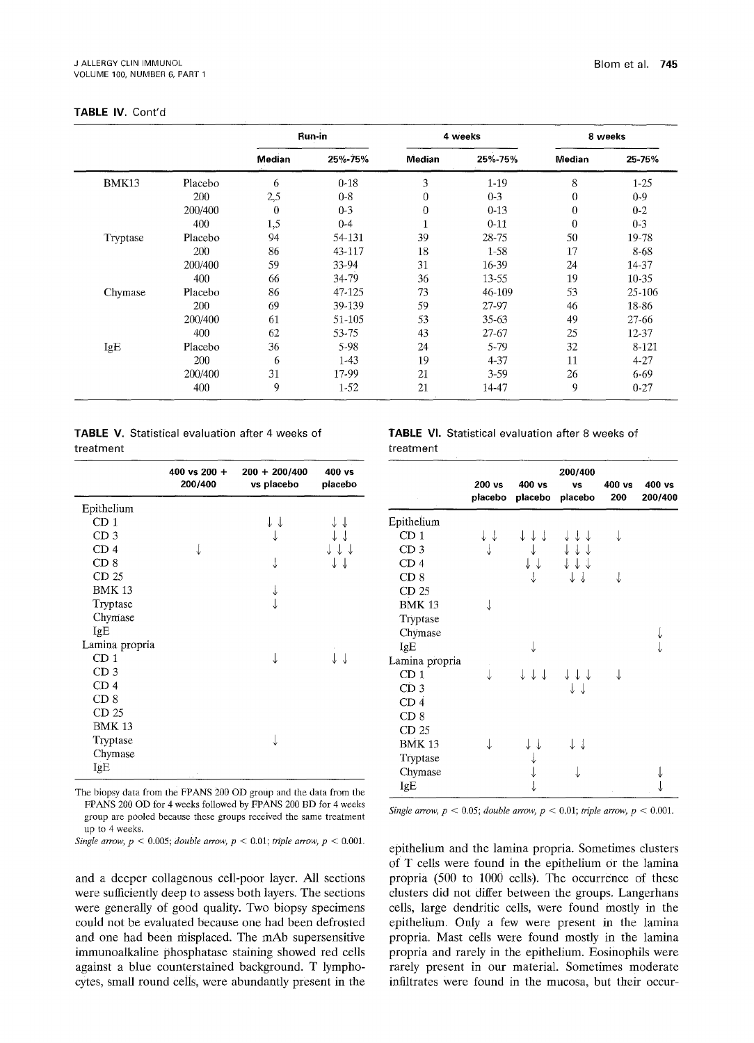## **TABLE IV. Cont'd**

|          |         | Run-in   |          | 4 weeks  |           | 8 weeks  |           |  |
|----------|---------|----------|----------|----------|-----------|----------|-----------|--|
|          |         | Median   | 25%-75%  | Median   | 25%-75%   | Median   | 25-75%    |  |
| BMK13    | Placebo | 6        | $0 - 18$ | 3        | $1-19$    | 8        | $1 - 25$  |  |
|          | 200     | 2,5      | $0 - 8$  | $\theta$ | $0-3$     | 0        | $0 - 9$   |  |
|          | 200/400 | $\theta$ | $0 - 3$  | 0        | $0-13$    | $\theta$ | $0 - 2$   |  |
|          | 400     | 1,5      | $0 - 4$  |          | $0 - 11$  | $\theta$ | $0 - 3$   |  |
| Tryptase | Placebo | 94       | 54-131   | 39       | 28-75     | 50       | 19-78     |  |
|          | 200     | 86       | 43-117   | 18       | $1 - 58$  | 17       | 8-68      |  |
|          | 200/400 | 59       | 33-94    | 31       | 16-39     | 24       | 14-37     |  |
|          | 400     | 66       | 34-79    | 36       | 13-55     | 19       | 10-35     |  |
| Chymase  | Placebo | 86       | 47-125   | 73       | 46-109    | 53       | 25-106    |  |
|          | 200     | 69       | 39-139   | 59       | 27-97     | 46       | 18-86     |  |
|          | 200/400 | 61       | 51-105   | 53       | $35 - 63$ | 49       | $27 - 66$ |  |
|          | 400     | 62       | 53-75    | 43       | 27-67     | 25       | 12-37     |  |
| IgE      | Placebo | 36       | 5-98     | 24       | $5 - 79$  | 32       | 8-121     |  |
|          | 200     | 6        | $1-43$   | 19       | $4 - 37$  | 11       | $4 - 27$  |  |
|          | 200/400 | 31       | 17-99    | 21       | $3-59$    | 26       | 6-69      |  |
|          | 400     | 9        | $1-52$   | 21       | 14-47     | 9        | $0 - 27$  |  |

|           | <b>TABLE V.</b> Statistical evaluation after 4 weeks of |  |  |
|-----------|---------------------------------------------------------|--|--|
| treatment |                                                         |  |  |

|                 | 400 vs 200 $+$<br>200/400 | $200 + 200/400$<br>vs placebo | 400 vs<br>placebo |
|-----------------|---------------------------|-------------------------------|-------------------|
| Epithelium      |                           |                               |                   |
| CD <sub>1</sub> |                           |                               |                   |
| CD <sub>3</sub> |                           |                               |                   |
| CD 4            |                           |                               |                   |
| CD <sub>8</sub> |                           |                               |                   |
| CD 25           |                           |                               |                   |
| <b>BMK 13</b>   |                           |                               |                   |
| Tryptase        |                           |                               |                   |
| Chymase         |                           |                               |                   |
| IgE             |                           |                               |                   |
| Lamina propria  |                           |                               |                   |
| CD <sub>1</sub> |                           |                               |                   |
| CD <sub>3</sub> |                           |                               |                   |
| CD <sub>4</sub> |                           |                               |                   |
| CD <sub>8</sub> |                           |                               |                   |
| CD 25           |                           |                               |                   |
| <b>BMK 13</b>   |                           |                               |                   |
| Tryptase        |                           |                               |                   |
| Chymase         |                           |                               |                   |
| IgE             |                           |                               |                   |

The biopsy data from the FPANS 200 OD group and the data from the FPANS 200 OD for 4 weeks followed by FPANS 200 BD for 4 weeks group are pooled because these groups received the same treatment up to 4 weeks.

*Single arrow,*  $p < 0.005$ ; *double arrow,*  $p < 0.01$ ; *triple arrow,*  $p < 0.001$ .

and a deeper collagenous cell-poor layer. All sections were sufficiently deep to assess both layers. The sections were generally of good quality. Two biopsy specimens could not be evaluated because one had been defrosted and one had been misplaced. The mAb supersensitive immunoalkaline phosphatase staining showed red cells against a blue counterstained background. T lymphocytes, small round cells, were abundantly present in the **TABLE** Vl. Statistical evaluation after 8 **weeks of**  treatment

|                  | 200 vs<br>placebo | 400 vs<br>placebo | 200/400<br>VS<br>placebo | $400$ vs<br>200 | 400 vs<br>200/400 |
|------------------|-------------------|-------------------|--------------------------|-----------------|-------------------|
| Epithelium       |                   |                   |                          |                 |                   |
| CD <sub>1</sub>  |                   |                   |                          |                 |                   |
| CD <sub>3</sub>  |                   |                   | ↓↓↓                      |                 |                   |
| CD <sub>4</sub>  |                   |                   |                          |                 |                   |
| CD <sub>8</sub>  |                   |                   |                          |                 |                   |
| CD <sub>25</sub> |                   |                   |                          |                 |                   |
| <b>BMK 13</b>    |                   |                   |                          |                 |                   |
| Tryptase         |                   |                   |                          |                 |                   |
| Chymase          |                   |                   |                          |                 |                   |
| IgE              |                   |                   |                          |                 |                   |
| Lamina propria   |                   |                   |                          |                 |                   |
| CD <sub>1</sub>  |                   | J J J             |                          |                 |                   |
| CD <sub>3</sub>  |                   |                   | ↓↓                       |                 |                   |
| CD 4             |                   |                   |                          |                 |                   |
| CD <sub>8</sub>  |                   |                   |                          |                 |                   |
| CD 25            |                   |                   |                          |                 |                   |
| <b>BMK 13</b>    |                   |                   |                          |                 |                   |
| Tryptase         |                   |                   |                          |                 |                   |
| Chymase          |                   |                   |                          |                 |                   |
| IgE              |                   |                   |                          |                 |                   |
|                  |                   |                   |                          |                 |                   |

*Single arrow,*  $p < 0.05$ ; *double arrow,*  $p < 0.01$ ; *triple arrow,*  $p < 0.001$ .

epithelium and the lamina propria. Sometimes clusters of T cells were found in the epithelium or the lamina propria (500 to 1000 cells). The occurrence of these clusters did not differ between the groups. Langerhans cells, large dendritic cells, were found mostly in the epithelium. Only a few were present in the lamina propria. Mast cells were found mostly in the lamina propria and rarely in the epithelium. Eosinophils were rarely present in our material. Sometimes moderate infiltrates were found in the mucosa, but their occur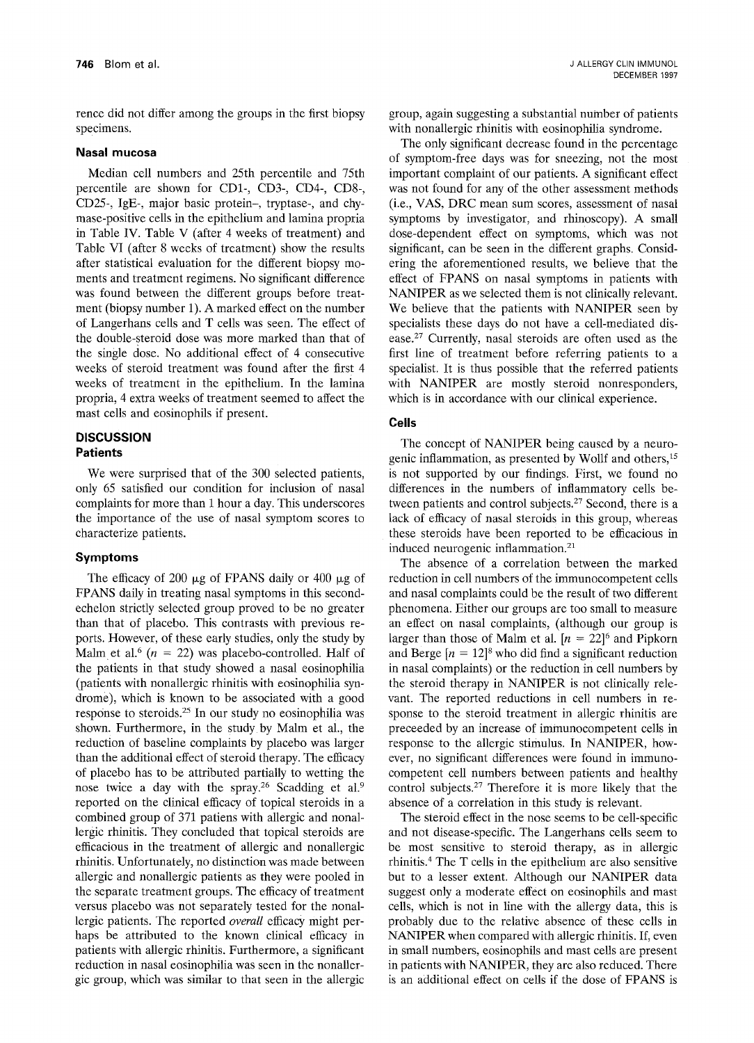rence did not differ among the groups in the first biopsy specimens.

## **Nasal mucosa**

Median cell numbers and 25th percentile and 75th percentile are shown for CD1-, CD3-, CD4-, CD8-, CD25-, IgE-, major basic protein-, tryptase-, and chymase-positive cells in the epithelium and lamina propria in Table IV. Table V (after 4 weeks of treatment) and Table VI (after 8 weeks of treatment) show the results after statistical evaluation for the different biopsy moments and treatment regimens. No significant difference was found between the different groups before treatment (biopsy number 1). A marked effect on the number of Langerhans cells and T cells was seen. The effect of the double-steroid dose was more marked than that of the single dose. No additional effect of 4 consecutive weeks of steroid treatment was found after the first 4 weeks of treatment in the epithelium. In the lamina propria, 4 extra weeks of treatment seemed to affect the mast cells and eosinophils if present.

## **DISCUSSION Patients**

We were surprised that of the 300 selected patients, only 65 satisfied our condition for inclusion of nasal complaints for more than 1 hour a day. This underscores the importance of the use of nasal symptom scores to characterize patients.

## **Symptoms**

The efficacy of 200  $\mu$ g of FPANS daily or 400  $\mu$ g of FPANS daily in treating nasal symptoms in this secondechelon strictly selected group proved to be no greater than that of placebo. This contrasts with previous reports. However, of these early studies, only the study by Malm et al.<sup>6</sup> ( $n = 22$ ) was placebo-controlled. Half of the patients in that study showed a nasal eosinophilia (patients with nonallergic rhinitis with eosinophilia syndrome), which is known to be associated with a good response to steroids.<sup>25</sup> In our study no eosinophilia was shown. Furthermore, in the study by Malm et al., the reduction of baseline complaints by placebo was larger than the additional effect of steroid therapy. The efficacy of placebo has to be attributed partially to wetting the nose twice a day with the spray.<sup>26</sup> Scadding et al.<sup>9</sup> reported on the clinical efficacy of topical steroids in a combined group of 371 patiens with allergic and nonallergic rhinitis. They concluded that topical steroids are efficacious in the treatment of allergic and nonallergic rhinitis. Unfortunately, no distinction was made between allergic and nonallergic patients as they were pooled in the separate treatment groups. The efficacy of treatment versus placebo was not separately tested for the nonallergic patients. The reported *overall* efficacy might perhaps be attributed to the known clinical efficacy in patients with allergic rhinitis. Furthermore, a significant reduction in nasal eosinophilia was seen in the nonallergic group, which was similar to that seen in the allergic

group, again suggesting a substantial number of patients with nonallergic rhinitis with eosinophilia syndrome.

The only significant decrease found in the percentage of symptom-free days was for sneezing, not the most important complaint of our patients. A significant effect was not found for any of the other assessment methods (i.e., VAS, DRC mean sum scores, assessment of nasal symptoms by investigator, and rhinoscopy). A small dose-dependent effect on symptoms, which was not significant, can be seen in the different graphs. Considering the aforementioned results, we believe that the effect of FPANS on nasal symptoms in patients with NANIPER as we selected them is not clinically relevant. We believe that the patients with NANIPER seen by specialists these days do not have a cell-mediated disease.<sup>27</sup> Currently, nasal steroids are often used as the first line of treatment before referring patients to a specialist. It is thus possible that the referred patients with NANIPER are mostly steroid nonresponders, which is in accordance with our clinical experience.

# **Cells**

The concept of NANIPER being caused by a neurogenie inflammation, as presented by Wollf and others, 15 is not supported by our findings. First, we found no differences in the numbers of inflammatory cells between patients and control subjects.<sup>27</sup> Second, there is a lack of efficacy of nasal steroids in this group, whereas these steroids have been reported to be efifcacious in induced neurogenic inflammation.<sup>21</sup>

The absence of a correlation between the marked reduction in cell numbers of the immunocompetent cells and nasal complaints could be the result of two different phenomena. Either our groups are too small to measure an effect on nasal complaints, (although our group is larger than those of Malm et al.  $[n = 22]$ <sup>6</sup> and Pipkorn and Berge  $[n = 12]^8$  who did find a significant reduction in nasal complaints) or the reduction in cell numbers by the steroid therapy in NANIPER is not clinically relevant. The reported reductions in cell numbers in response to the steroid treatment in allergic rhinitis are preceeded by an increase of immunocompetent cells in response to the allergic stimulus. In NANIPER, however, no significant differences were found in immunocompetent cell numbers between patients and healthy control subjects.<sup>27</sup> Therefore it is more likely that the absence of a correlation in this study is relevant.

The steroid effect in the nose seems to be cell-specific and not disease-specific. The Langerhans cells seem to be most sensitive to steroid therapy, as in allergic rhinitis. 4 The T cells in the epithelium are also sensitive but to a lesser extent. Although our NANIPER data suggest only a moderate effect on eosinophils and mast cells, which is not in line with the allergy data, this is probably due to the relative absence of these cells in NANIPER when compared with allergic rhinitis. If, even in small numbers, eosinophils and mast cells are present in patients with NANIPER, they are also reduced. There is an additional effect on cells if the dose of FPANS is